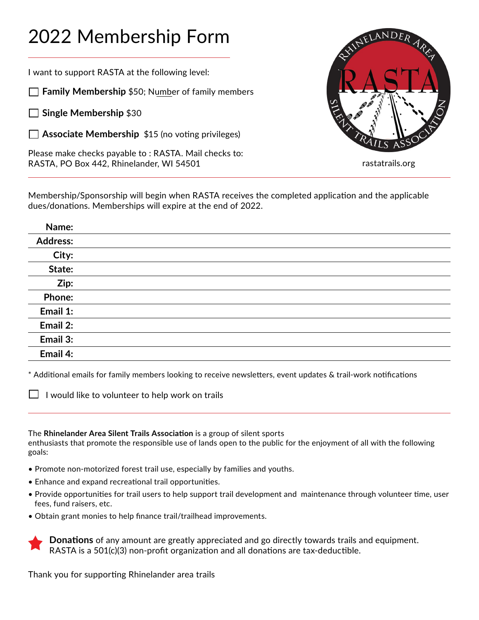## 2022 Membership Form

I want to support RASTA at the following level:

**Family Membership** \$50; Number of family members

**Single Membership** \$30

**Associate Membership** \$15 (no voting privileges)

Please make checks payable to : RASTA. Mail checks to: RASTA, PO Box 442, Rhinelander, WI 54501



rastatrails.org

Membership/Sponsorship will begin when RASTA receives the completed application and the applicable dues/donations. Memberships will expire at the end of 2022.

## **Name: Address: City: State: Zip: Phone: Email 1: Email 2: Email 3: Email 4:**

\* Additional emails for family members looking to receive newsletters, event updates & trail-work notifications

 $\Box$  I would like to volunteer to help work on trails

The **Rhinelander Area Silent Trails Association** is a group of silent sports

enthusiasts that promote the responsible use of lands open to the public for the enjoyment of all with the following goals:

- Promote non-motorized forest trail use, especially by families and youths.
- Enhance and expand recreational trail opportunities.
- Provide opportunities for trail users to help support trail development and maintenance through volunteer time, user fees, fund raisers, etc.
- Obtain grant monies to help finance trail/trailhead improvements.

**Donations** of any amount are greatly appreciated and go directly towards trails and equipment. RASTA is a 501(c)(3) non-profit organization and all donations are tax-deductible.

Thank you for supporting Rhinelander area trails